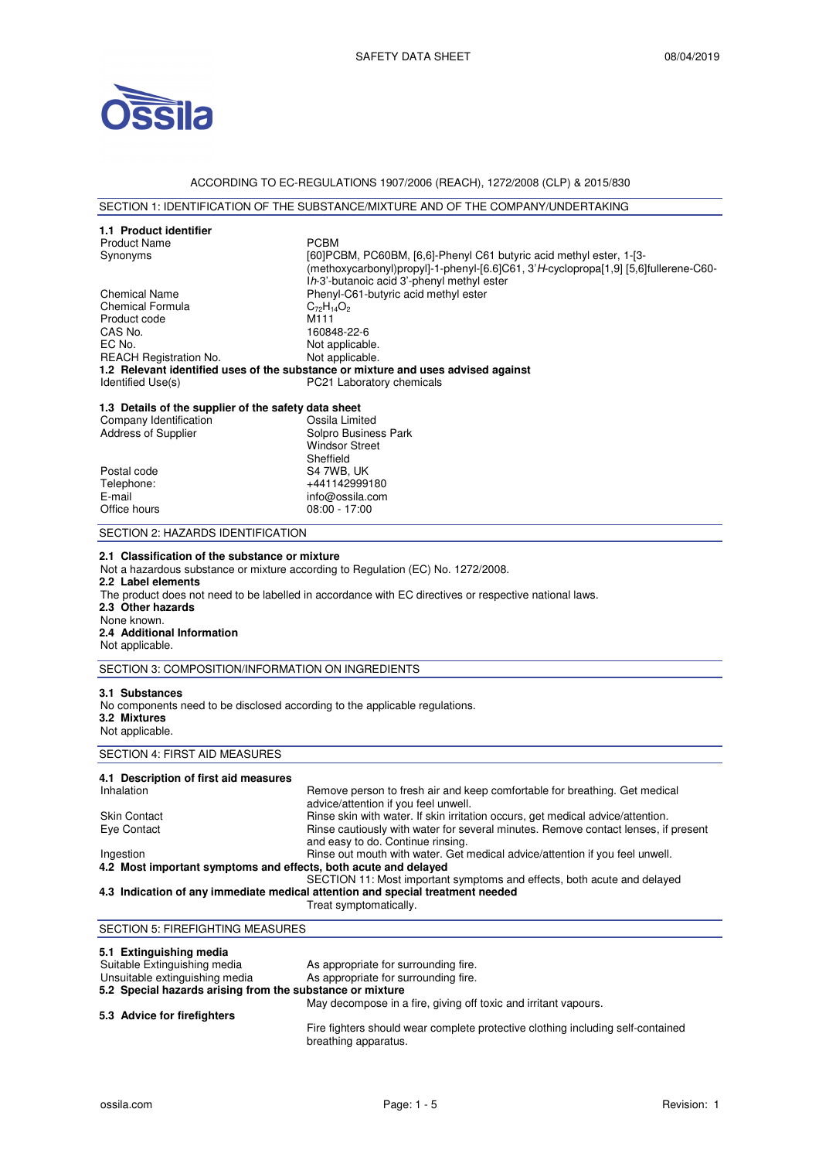

### ACCORDING TO EC-REGULATIONS 1907/2006 (REACH), 1272/2008 (CLP) & 2015/830

# SECTION 1: IDENTIFICATION OF THE SUBSTANCE/MIXTURE AND OF THE COMPANY/UNDERTAKING

| 1.3 Details of the supplier of the safety data sheet<br>Company Identification<br>Ossila Limited<br>Address of Supplier<br>Solpro Business Park<br><b>Windsor Street</b><br>Sheffield<br>Postal code<br>S4 7WB, UK<br>Telephone:<br>+441142999180<br>E-mail<br>info@ossila.com<br>Office hours<br>$08:00 - 17:00$<br>SECTION 2: HAZARDS IDENTIFICATION<br>2.1 Classification of the substance or mixture<br>Not a hazardous substance or mixture according to Regulation (EC) No. 1272/2008.<br>2.2 Label elements<br>The product does not need to be labelled in accordance with EC directives or respective national laws.<br>2.3 Other hazards<br>None known.<br>2.4 Additional Information<br>Not applicable.<br>SECTION 3: COMPOSITION/INFORMATION ON INGREDIENTS<br>3.1 Substances<br>No components need to be disclosed according to the applicable regulations.<br>3.2 Mixtures<br>Not applicable.<br>SECTION 4: FIRST AID MEASURES<br>4.1 Description of first aid measures<br>Inhalation<br>Remove person to fresh air and keep comfortable for breathing. Get medical<br>advice/attention if you feel unwell.<br>Rinse skin with water. If skin irritation occurs, get medical advice/attention.<br><b>Skin Contact</b><br>Rinse cautiously with water for several minutes. Remove contact lenses, if present<br>Eye Contact<br>and easy to do. Continue rinsing.<br>Rinse out mouth with water. Get medical advice/attention if you feel unwell.<br>Ingestion<br>4.2 Most important symptoms and effects, both acute and delayed<br>SECTION 11: Most important symptoms and effects, both acute and delayed<br>4.3 Indication of any immediate medical attention and special treatment needed<br>Treat symptomatically.<br>SECTION 5: FIREFIGHTING MEASURES<br>5.1 Extinguishing media<br>Suitable Extinguishing media<br>As appropriate for surrounding fire. | 1.1 Product identifier<br><b>Product Name</b><br>Synonyms<br><b>Chemical Name</b><br><b>Chemical Formula</b><br>Product code<br>CAS No.<br>EC No.<br><b>REACH Registration No.</b><br>Identified Use(s) | <b>PCBM</b><br>[60]PCBM, PC60BM, [6,6]-Phenyl C61 butyric acid methyl ester, 1-[3-<br>(methoxycarbonyl)propyl]-1-phenyl-[6.6]C61, 3'H-cyclopropa[1,9] [5,6]fullerene-C60-<br>Ih-3'-butanoic acid 3'-phenyl methyl ester<br>Phenyl-C61-butyric acid methyl ester<br>$C_{72}H_{14}O_2$<br>M <sub>111</sub><br>160848-22-6<br>Not applicable.<br>Not applicable.<br>1.2 Relevant identified uses of the substance or mixture and uses advised against<br>PC21 Laboratory chemicals |  |  |  |
|----------------------------------------------------------------------------------------------------------------------------------------------------------------------------------------------------------------------------------------------------------------------------------------------------------------------------------------------------------------------------------------------------------------------------------------------------------------------------------------------------------------------------------------------------------------------------------------------------------------------------------------------------------------------------------------------------------------------------------------------------------------------------------------------------------------------------------------------------------------------------------------------------------------------------------------------------------------------------------------------------------------------------------------------------------------------------------------------------------------------------------------------------------------------------------------------------------------------------------------------------------------------------------------------------------------------------------------------------------------------------------------------------------------------------------------------------------------------------------------------------------------------------------------------------------------------------------------------------------------------------------------------------------------------------------------------------------------------------------------------------------------------------------------------------------------------------------------------------------------------------|---------------------------------------------------------------------------------------------------------------------------------------------------------------------------------------------------------|---------------------------------------------------------------------------------------------------------------------------------------------------------------------------------------------------------------------------------------------------------------------------------------------------------------------------------------------------------------------------------------------------------------------------------------------------------------------------------|--|--|--|
|                                                                                                                                                                                                                                                                                                                                                                                                                                                                                                                                                                                                                                                                                                                                                                                                                                                                                                                                                                                                                                                                                                                                                                                                                                                                                                                                                                                                                                                                                                                                                                                                                                                                                                                                                                                                                                                                            |                                                                                                                                                                                                         |                                                                                                                                                                                                                                                                                                                                                                                                                                                                                 |  |  |  |
|                                                                                                                                                                                                                                                                                                                                                                                                                                                                                                                                                                                                                                                                                                                                                                                                                                                                                                                                                                                                                                                                                                                                                                                                                                                                                                                                                                                                                                                                                                                                                                                                                                                                                                                                                                                                                                                                            |                                                                                                                                                                                                         |                                                                                                                                                                                                                                                                                                                                                                                                                                                                                 |  |  |  |
|                                                                                                                                                                                                                                                                                                                                                                                                                                                                                                                                                                                                                                                                                                                                                                                                                                                                                                                                                                                                                                                                                                                                                                                                                                                                                                                                                                                                                                                                                                                                                                                                                                                                                                                                                                                                                                                                            |                                                                                                                                                                                                         |                                                                                                                                                                                                                                                                                                                                                                                                                                                                                 |  |  |  |
|                                                                                                                                                                                                                                                                                                                                                                                                                                                                                                                                                                                                                                                                                                                                                                                                                                                                                                                                                                                                                                                                                                                                                                                                                                                                                                                                                                                                                                                                                                                                                                                                                                                                                                                                                                                                                                                                            |                                                                                                                                                                                                         |                                                                                                                                                                                                                                                                                                                                                                                                                                                                                 |  |  |  |
|                                                                                                                                                                                                                                                                                                                                                                                                                                                                                                                                                                                                                                                                                                                                                                                                                                                                                                                                                                                                                                                                                                                                                                                                                                                                                                                                                                                                                                                                                                                                                                                                                                                                                                                                                                                                                                                                            |                                                                                                                                                                                                         |                                                                                                                                                                                                                                                                                                                                                                                                                                                                                 |  |  |  |
|                                                                                                                                                                                                                                                                                                                                                                                                                                                                                                                                                                                                                                                                                                                                                                                                                                                                                                                                                                                                                                                                                                                                                                                                                                                                                                                                                                                                                                                                                                                                                                                                                                                                                                                                                                                                                                                                            |                                                                                                                                                                                                         |                                                                                                                                                                                                                                                                                                                                                                                                                                                                                 |  |  |  |
|                                                                                                                                                                                                                                                                                                                                                                                                                                                                                                                                                                                                                                                                                                                                                                                                                                                                                                                                                                                                                                                                                                                                                                                                                                                                                                                                                                                                                                                                                                                                                                                                                                                                                                                                                                                                                                                                            |                                                                                                                                                                                                         |                                                                                                                                                                                                                                                                                                                                                                                                                                                                                 |  |  |  |
|                                                                                                                                                                                                                                                                                                                                                                                                                                                                                                                                                                                                                                                                                                                                                                                                                                                                                                                                                                                                                                                                                                                                                                                                                                                                                                                                                                                                                                                                                                                                                                                                                                                                                                                                                                                                                                                                            |                                                                                                                                                                                                         |                                                                                                                                                                                                                                                                                                                                                                                                                                                                                 |  |  |  |
|                                                                                                                                                                                                                                                                                                                                                                                                                                                                                                                                                                                                                                                                                                                                                                                                                                                                                                                                                                                                                                                                                                                                                                                                                                                                                                                                                                                                                                                                                                                                                                                                                                                                                                                                                                                                                                                                            |                                                                                                                                                                                                         |                                                                                                                                                                                                                                                                                                                                                                                                                                                                                 |  |  |  |
|                                                                                                                                                                                                                                                                                                                                                                                                                                                                                                                                                                                                                                                                                                                                                                                                                                                                                                                                                                                                                                                                                                                                                                                                                                                                                                                                                                                                                                                                                                                                                                                                                                                                                                                                                                                                                                                                            |                                                                                                                                                                                                         |                                                                                                                                                                                                                                                                                                                                                                                                                                                                                 |  |  |  |
|                                                                                                                                                                                                                                                                                                                                                                                                                                                                                                                                                                                                                                                                                                                                                                                                                                                                                                                                                                                                                                                                                                                                                                                                                                                                                                                                                                                                                                                                                                                                                                                                                                                                                                                                                                                                                                                                            |                                                                                                                                                                                                         |                                                                                                                                                                                                                                                                                                                                                                                                                                                                                 |  |  |  |
|                                                                                                                                                                                                                                                                                                                                                                                                                                                                                                                                                                                                                                                                                                                                                                                                                                                                                                                                                                                                                                                                                                                                                                                                                                                                                                                                                                                                                                                                                                                                                                                                                                                                                                                                                                                                                                                                            | Unsuitable extinguishing media                                                                                                                                                                          | As appropriate for surrounding fire.                                                                                                                                                                                                                                                                                                                                                                                                                                            |  |  |  |

### **5.2 Special hazards arising from the substance or mixture**

May decompose in a fire, giving off toxic and irritant vapours.

#### **5.3 Advice for firefighters**

Fire fighters should wear complete protective clothing including self-contained breathing apparatus.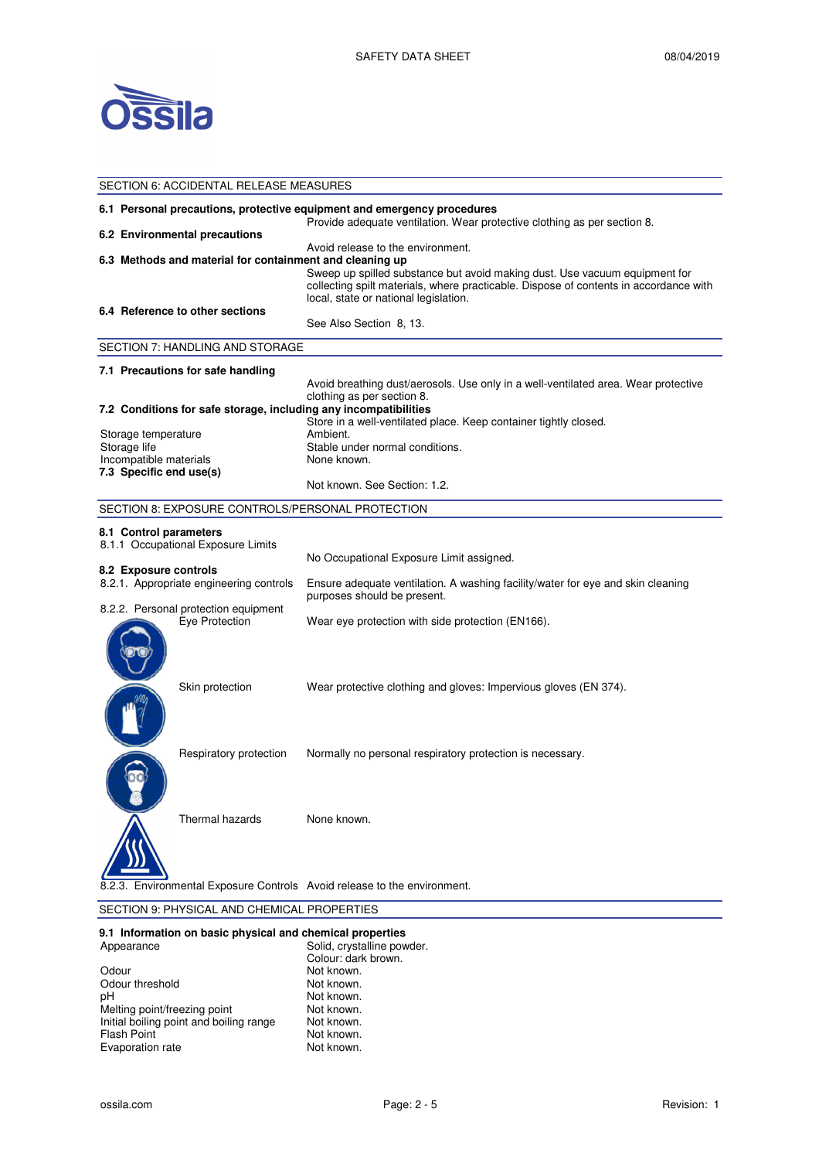

|                                                                                                                                                     | SECTION 6: ACCIDENTAL RELEASE MEASURES                   |                                                                                                                                                                                                                                                   |  |  |
|-----------------------------------------------------------------------------------------------------------------------------------------------------|----------------------------------------------------------|---------------------------------------------------------------------------------------------------------------------------------------------------------------------------------------------------------------------------------------------------|--|--|
| 6.1 Personal precautions, protective equipment and emergency procedures<br>Provide adequate ventilation. Wear protective clothing as per section 8. |                                                          |                                                                                                                                                                                                                                                   |  |  |
|                                                                                                                                                     | 6.2 Environmental precautions                            |                                                                                                                                                                                                                                                   |  |  |
|                                                                                                                                                     | 6.3 Methods and material for containment and cleaning up | Avoid release to the environment.<br>Sweep up spilled substance but avoid making dust. Use vacuum equipment for<br>collecting spilt materials, where practicable. Dispose of contents in accordance with<br>local, state or national legislation. |  |  |
|                                                                                                                                                     | 6.4 Reference to other sections                          |                                                                                                                                                                                                                                                   |  |  |
|                                                                                                                                                     |                                                          | See Also Section 8, 13.                                                                                                                                                                                                                           |  |  |
|                                                                                                                                                     | SECTION 7: HANDLING AND STORAGE                          |                                                                                                                                                                                                                                                   |  |  |
|                                                                                                                                                     | 7.1 Precautions for safe handling                        |                                                                                                                                                                                                                                                   |  |  |
|                                                                                                                                                     |                                                          | Avoid breathing dust/aerosols. Use only in a well-ventilated area. Wear protective                                                                                                                                                                |  |  |
|                                                                                                                                                     |                                                          | clothing as per section 8.<br>7.2 Conditions for safe storage, including any incompatibilities                                                                                                                                                    |  |  |
|                                                                                                                                                     |                                                          | Store in a well-ventilated place. Keep container tightly closed.                                                                                                                                                                                  |  |  |
| Storage temperature                                                                                                                                 |                                                          | Ambient.                                                                                                                                                                                                                                          |  |  |
| Storage life                                                                                                                                        |                                                          | Stable under normal conditions.                                                                                                                                                                                                                   |  |  |
| Incompatible materials<br>7.3 Specific end use(s)                                                                                                   |                                                          | None known.                                                                                                                                                                                                                                       |  |  |
|                                                                                                                                                     |                                                          | Not known. See Section: 1.2.                                                                                                                                                                                                                      |  |  |
|                                                                                                                                                     | SECTION 8: EXPOSURE CONTROLS/PERSONAL PROTECTION         |                                                                                                                                                                                                                                                   |  |  |
| 8.1 Control parameters                                                                                                                              |                                                          |                                                                                                                                                                                                                                                   |  |  |
|                                                                                                                                                     | 8.1.1 Occupational Exposure Limits                       |                                                                                                                                                                                                                                                   |  |  |
|                                                                                                                                                     |                                                          | No Occupational Exposure Limit assigned.                                                                                                                                                                                                          |  |  |
| 8.2 Exposure controls                                                                                                                               |                                                          |                                                                                                                                                                                                                                                   |  |  |
|                                                                                                                                                     | 8.2.1. Appropriate engineering controls                  | Ensure adequate ventilation. A washing facility/water for eye and skin cleaning<br>purposes should be present.                                                                                                                                    |  |  |
|                                                                                                                                                     | 8.2.2. Personal protection equipment<br>Eye Protection   | Wear eye protection with side protection (EN166).                                                                                                                                                                                                 |  |  |
|                                                                                                                                                     | Skin protection                                          | Wear protective clothing and gloves: Impervious gloves (EN 374).                                                                                                                                                                                  |  |  |
|                                                                                                                                                     |                                                          |                                                                                                                                                                                                                                                   |  |  |
|                                                                                                                                                     | Respiratory protection                                   | Normally no personal respiratory protection is necessary.                                                                                                                                                                                         |  |  |
|                                                                                                                                                     | Thermal hazards                                          | None known.                                                                                                                                                                                                                                       |  |  |
|                                                                                                                                                     |                                                          | Environmental Exposure Controls Avoid release to the environment.                                                                                                                                                                                 |  |  |

# SECTION 9: PHYSICAL AND CHEMICAL PROPERTIES

# **9.1 Information on basic physical and chemical properties**

| Appearance                              | Solid, crystalline powder. |
|-----------------------------------------|----------------------------|
|                                         | Colour: dark brown.        |
| Odour                                   | Not known.                 |
| Odour threshold                         | Not known.                 |
| рH                                      | Not known.                 |
| Melting point/freezing point            | Not known.                 |
| Initial boiling point and boiling range | Not known.                 |
| <b>Flash Point</b>                      | Not known.                 |
| Evaporation rate                        | Not known.                 |
|                                         |                            |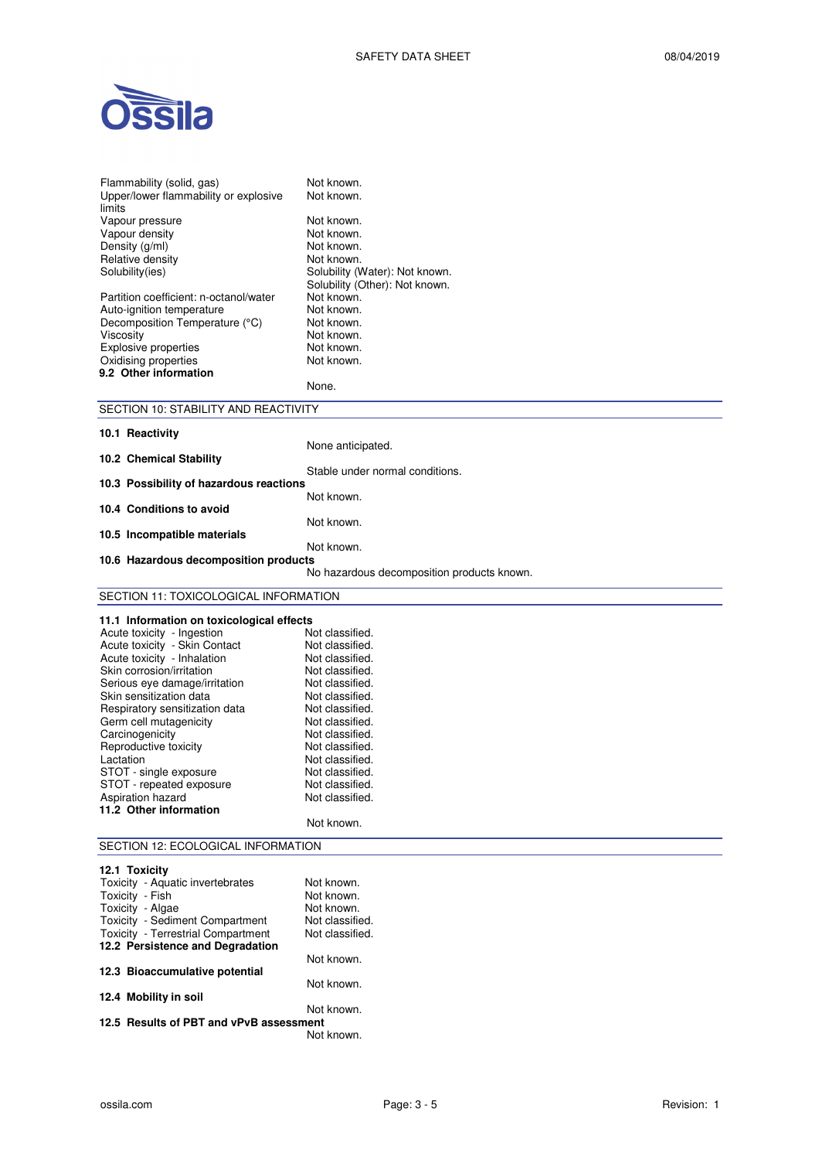

| Flammability (solid, gas)<br>Upper/lower flammability or explosive | Not known.<br>Not known.                     |
|--------------------------------------------------------------------|----------------------------------------------|
| limits                                                             |                                              |
| Vapour pressure                                                    | Not known.                                   |
| Vapour density                                                     | Not known.                                   |
| Density (g/ml)                                                     | Not known.                                   |
| Relative density<br>Solubility(ies)                                | Not known.<br>Solubility (Water): Not known. |
|                                                                    | Solubility (Other): Not known.               |
| Partition coefficient: n-octanol/water                             | Not known.                                   |
| Auto-ignition temperature                                          | Not known.                                   |
| Decomposition Temperature (°C)                                     | Not known.                                   |
| Viscosity                                                          | Not known.                                   |
| Explosive properties                                               | Not known.                                   |
| Oxidising properties                                               | Not known.                                   |
| 9.2 Other information                                              |                                              |
|                                                                    | None.                                        |
| SECTION 10: STABILITY AND REACTIVITY                               |                                              |
| 10.1 Reactivity                                                    |                                              |
|                                                                    | None anticipated.                            |
| 10.2 Chemical Stability                                            |                                              |
|                                                                    | Stable under normal conditions.              |
| 10.3 Possibility of hazardous reactions                            | Not known.                                   |
| 10.4 Conditions to avoid                                           |                                              |
|                                                                    | Not known.                                   |
| 10.5 Incompatible materials                                        |                                              |
|                                                                    | Not known.                                   |
| 10.6 Hazardous decomposition products                              |                                              |
|                                                                    | No hazardous decomposition products known.   |
| SECTION 11: TOXICOLOGICAL INFORMATION                              |                                              |
| 11.1 Information on toxicological effects                          |                                              |
| Acute toxicity - Ingestion                                         | Not classified.                              |
| Acute toxicity - Skin Contact                                      | Not classified.                              |
| Acute toxicity - Inhalation                                        | Not classified.                              |
| Skin corrosion/irritation                                          | Not classified.                              |
| Serious eye damage/irritation                                      | Not classified.                              |
| Skin sensitization data                                            | Not classified.                              |
| Respiratory sensitization data                                     | Not classified.                              |
| Germ cell mutagenicity                                             | Not classified.                              |
| Carcinogenicity                                                    | Not classified.                              |
| Reproductive toxicity                                              | Not classified.                              |
| Lactation                                                          | Not classified.                              |
| STOT - single exposure                                             | Not classified.                              |
| STOT - repeated exposure                                           | Not classified.                              |
| Aspiration hazard                                                  | Not classified.                              |
| 11.2 Other information                                             | Not known.                                   |
|                                                                    |                                              |
| SECTION 12: ECOLOGICAL INFORMATION                                 |                                              |
| 12.1 Toxicity                                                      |                                              |
| Toxicity - Aquatic invertebrates                                   | Not known.                                   |
| Toxicity - Fish                                                    | Not known.                                   |
| Toxicity - Algae                                                   | Not known.                                   |
| Toxicity - Sediment Compartment                                    | Not classified.                              |
| Toxicity - Terrestrial Compartment                                 | Not classified.                              |
| 12.2 Persistence and Degradation                                   |                                              |
|                                                                    | Not known.                                   |
| 12.3 Bioaccumulative potential                                     |                                              |
| 12.4 Mobility in soil                                              | Not known.                                   |
|                                                                    | Not known.                                   |
|                                                                    |                                              |

**12.5 Results of PBT and vPvB assessment**  Not known.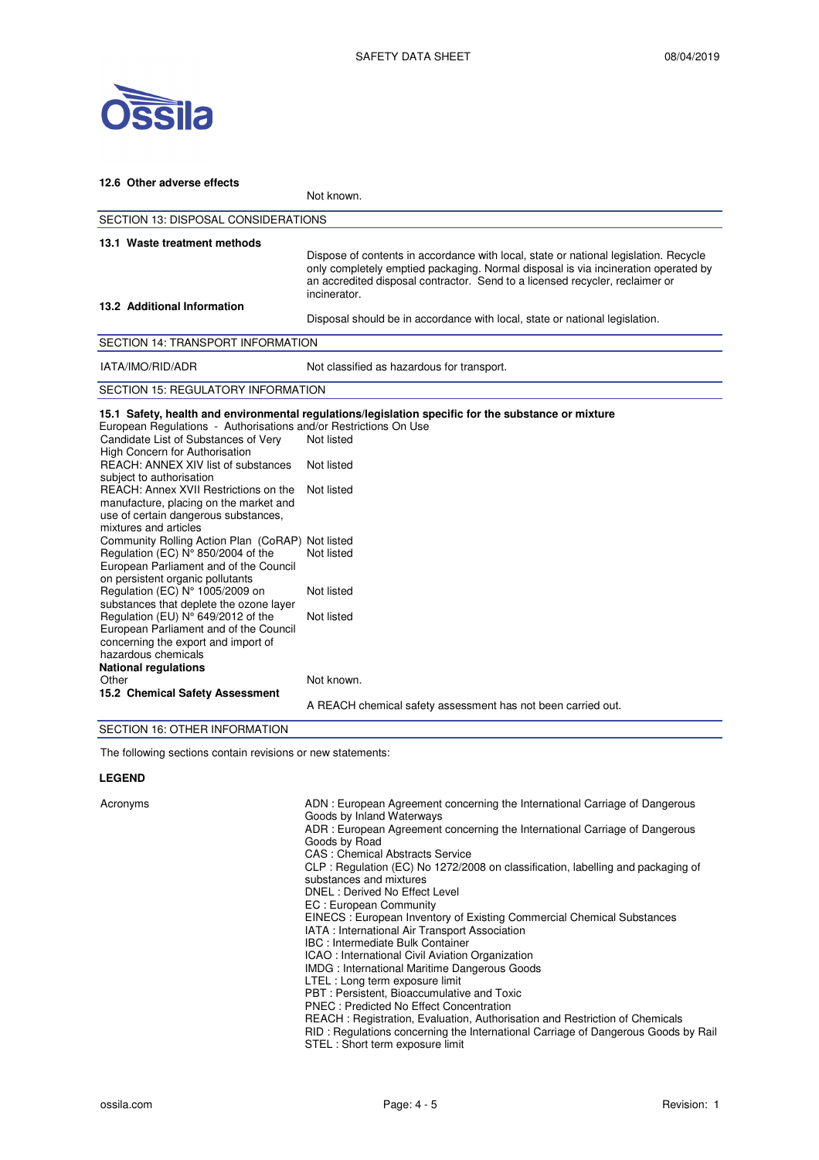

| 12.6 Other adverse effects                                                                                                                                                                                                                                                                                                                                        |                                                                                                                                                                                                                                                                            |  |  |  |  |
|-------------------------------------------------------------------------------------------------------------------------------------------------------------------------------------------------------------------------------------------------------------------------------------------------------------------------------------------------------------------|----------------------------------------------------------------------------------------------------------------------------------------------------------------------------------------------------------------------------------------------------------------------------|--|--|--|--|
|                                                                                                                                                                                                                                                                                                                                                                   | Not known.                                                                                                                                                                                                                                                                 |  |  |  |  |
|                                                                                                                                                                                                                                                                                                                                                                   | <b>SECTION 13: DISPOSAL CONSIDERATIONS</b>                                                                                                                                                                                                                                 |  |  |  |  |
| 13.1 Waste treatment methods                                                                                                                                                                                                                                                                                                                                      | Dispose of contents in accordance with local, state or national legislation. Recycle<br>only completely emptied packaging. Normal disposal is via incineration operated by<br>an accredited disposal contractor. Send to a licensed recycler, reclaimer or<br>incinerator. |  |  |  |  |
| 13.2 Additional Information                                                                                                                                                                                                                                                                                                                                       | Disposal should be in accordance with local, state or national legislation.                                                                                                                                                                                                |  |  |  |  |
| <b>SECTION 14: TRANSPORT INFORMATION</b>                                                                                                                                                                                                                                                                                                                          |                                                                                                                                                                                                                                                                            |  |  |  |  |
| IATA/IMO/RID/ADR                                                                                                                                                                                                                                                                                                                                                  | Not classified as hazardous for transport.                                                                                                                                                                                                                                 |  |  |  |  |
| <b>SECTION 15: REGULATORY INFORMATION</b>                                                                                                                                                                                                                                                                                                                         |                                                                                                                                                                                                                                                                            |  |  |  |  |
| European Regulations - Authorisations and/or Restrictions On Use<br>Candidate List of Substances of Very<br>High Concern for Authorisation<br>REACH: ANNEX XIV list of substances<br>subject to authorisation<br>REACH: Annex XVII Restrictions on the<br>manufacture, placing on the market and<br>use of certain dangerous substances,<br>mixtures and articles | 15.1 Safety, health and environmental regulations/legislation specific for the substance or mixture<br>Not listed<br>Not listed<br>Not listed                                                                                                                              |  |  |  |  |
| Community Rolling Action Plan (CoRAP) Not listed<br>Regulation (EC) N° 850/2004 of the<br>European Parliament and of the Council<br>on persistent organic pollutants<br>Regulation (EC) N° 1005/2009 on                                                                                                                                                           | Not listed<br>Not listed                                                                                                                                                                                                                                                   |  |  |  |  |
| substances that deplete the ozone layer<br>Regulation (EU) N° 649/2012 of the<br>European Parliament and of the Council<br>concerning the export and import of<br>hazardous chemicals<br><b>National regulations</b>                                                                                                                                              | Not listed                                                                                                                                                                                                                                                                 |  |  |  |  |
| Other<br>15.2 Chemical Safety Assessment<br>$\overline{z}$                                                                                                                                                                                                                                                                                                        | Not known.<br>A REACH chemical safety assessment has not been carried out.                                                                                                                                                                                                 |  |  |  |  |

# SECTION 16: OTHER INFORMATION

The following sections contain revisions or new statements:

# **LEGEND**